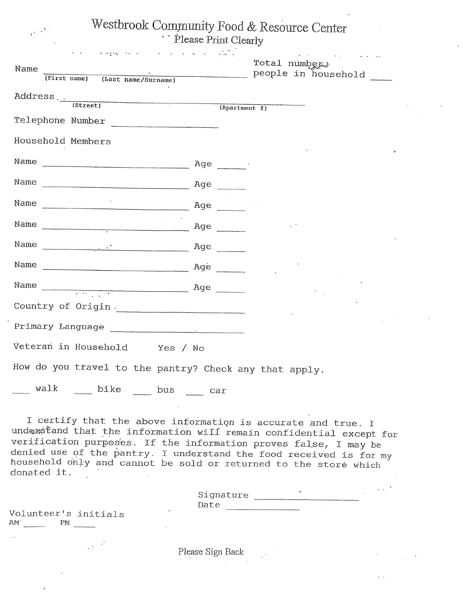Westbrook Community Food & Resource Center - Please Print Clearly

| Please Print Clearly |
|----------------------|
|                      |
|                      |
|                      |

| $\mathbf{r}$ , $\mathbf{r}$ , $\mathbf{r}$ , $\mathbf{r}$<br>Name<br>(First name) (Last name/Surname)   |     | Total numbers<br>people in household   |
|---------------------------------------------------------------------------------------------------------|-----|----------------------------------------|
|                                                                                                         |     |                                        |
| Telephone Number                                                                                        |     | $\overline{(Apartment \frac{\pi}{n})}$ |
| Household Members                                                                                       |     |                                        |
|                                                                                                         |     |                                        |
|                                                                                                         |     |                                        |
| Name                                                                                                    | Age |                                        |
| Name $\frac{1}{1}$ Age                                                                                  |     |                                        |
|                                                                                                         |     |                                        |
|                                                                                                         |     |                                        |
| Name $\frac{1}{\sqrt{1-\frac{1}{2}}}\left\vert \frac{1}{\sqrt{1-\frac{1}{2}}}\right\vert^{\frac{1}{2}}$ |     |                                        |
| Country of Origin.                                                                                      |     |                                        |
|                                                                                                         |     |                                        |
| Veteran in Household Yes / No                                                                           |     |                                        |
| How do you travel to the pantry? Check any that apply.                                                  |     |                                        |
| walk bike bus                                                                                           | car |                                        |

I certify that the above information is accurate and true. I<br>understand that the information will remain confidential except for verification purposes. If the information proves false, I may be<br>denied use of the pantry. I understand the food received is for my<br>household only and cannot be sold or returned to the store which<br>donated it.

| Signature |  |
|-----------|--|
| Date      |  |

Volunteer's initials AM PM

 $\mu$   $\sim$ 

Please Sign Back